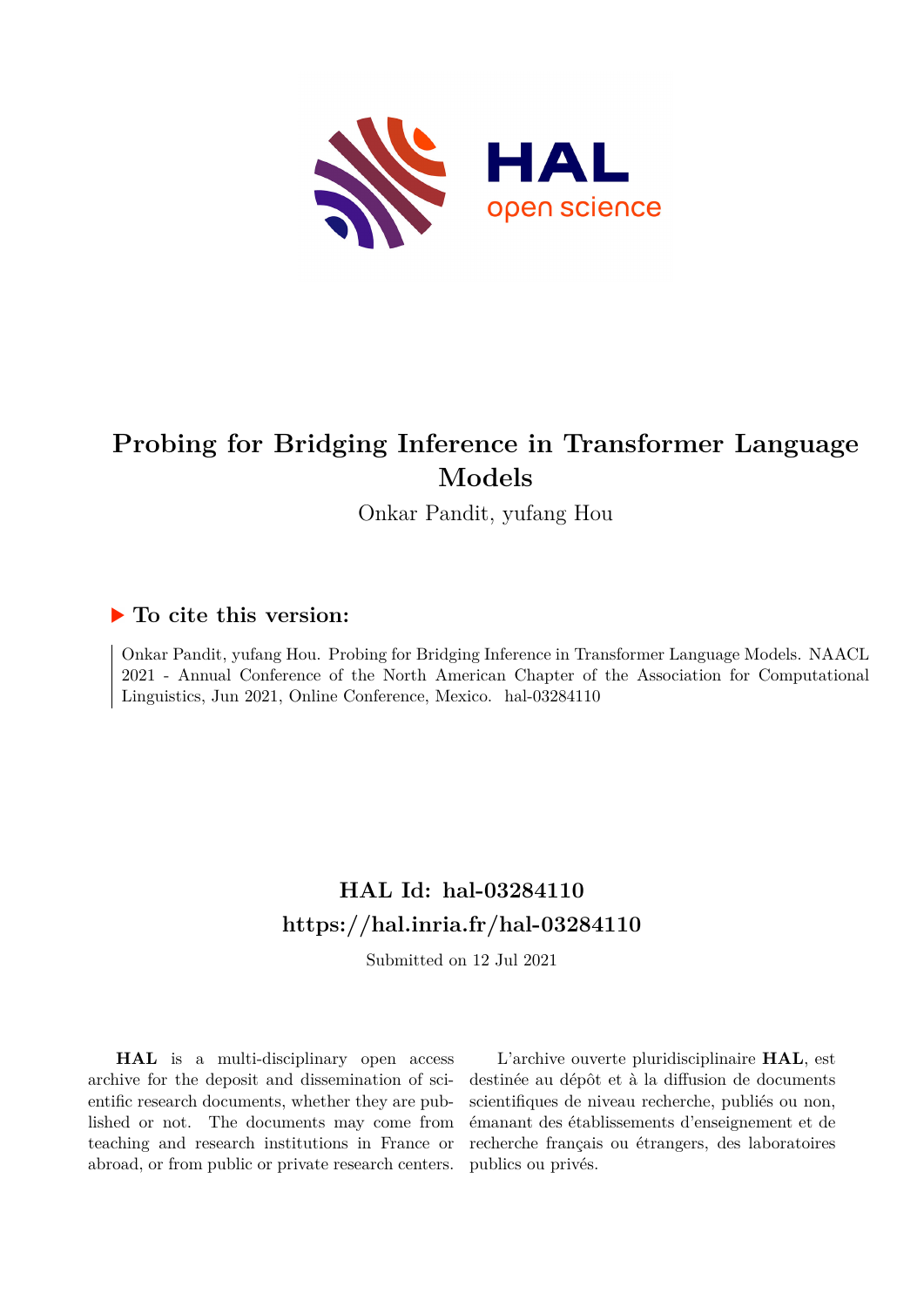

# **Probing for Bridging Inference in Transformer Language Models**

Onkar Pandit, yufang Hou

## **To cite this version:**

Onkar Pandit, yufang Hou. Probing for Bridging Inference in Transformer Language Models. NAACL 2021 - Annual Conference of the North American Chapter of the Association for Computational Linguistics, Jun 2021, Online Conference, Mexico. hal-03284110

## **HAL Id: hal-03284110 <https://hal.inria.fr/hal-03284110>**

Submitted on 12 Jul 2021

**HAL** is a multi-disciplinary open access archive for the deposit and dissemination of scientific research documents, whether they are published or not. The documents may come from teaching and research institutions in France or abroad, or from public or private research centers.

L'archive ouverte pluridisciplinaire **HAL**, est destinée au dépôt et à la diffusion de documents scientifiques de niveau recherche, publiés ou non, émanant des établissements d'enseignement et de recherche français ou étrangers, des laboratoires publics ou privés.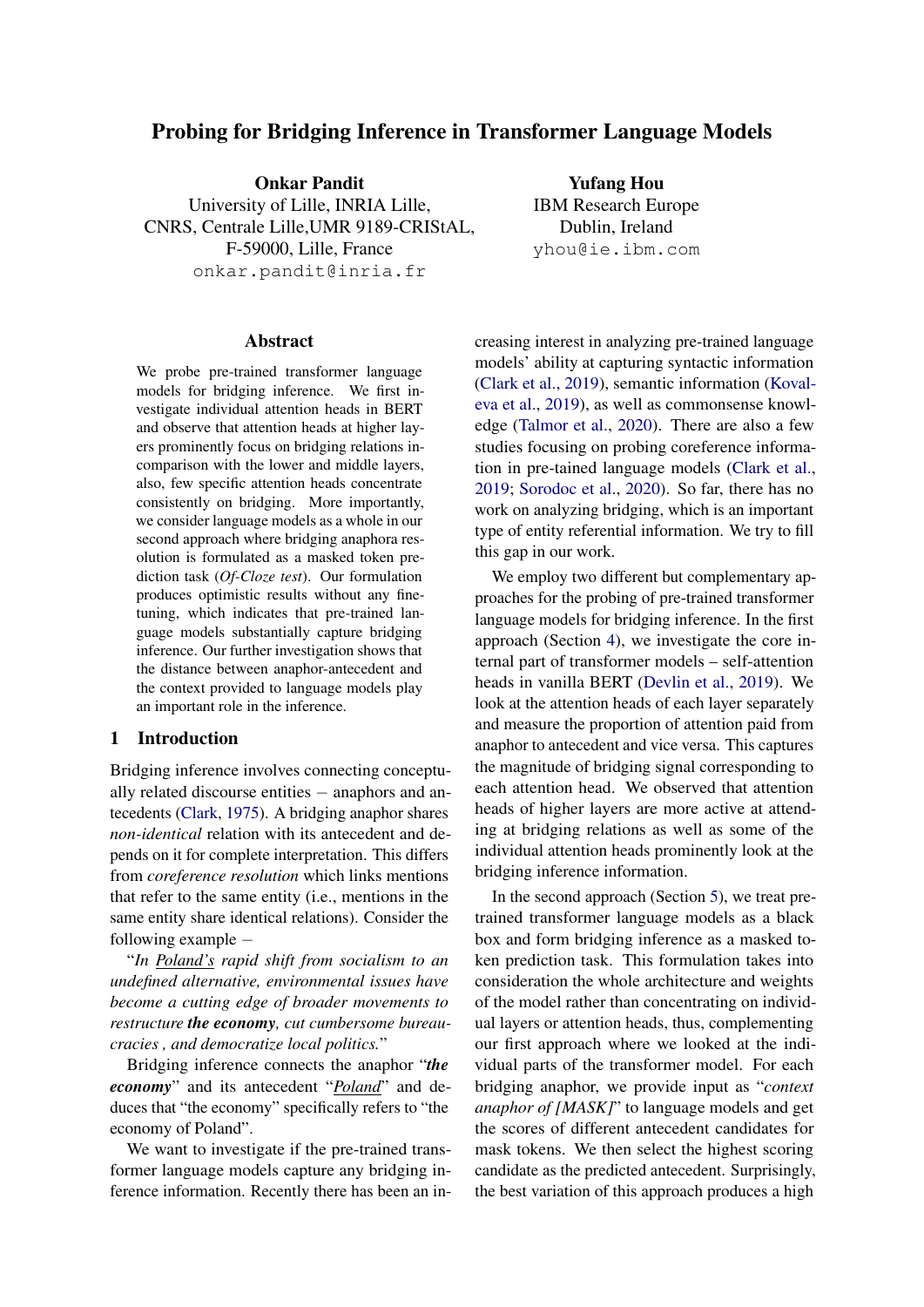## Probing for Bridging Inference in Transformer Language Models

Onkar Pandit University of Lille, INRIA Lille, CNRS, Centrale Lille,UMR 9189-CRIStAL, F-59000, Lille, France onkar.pandit@inria.fr

Abstract

We probe pre-trained transformer language models for bridging inference. We first investigate individual attention heads in BERT and observe that attention heads at higher layers prominently focus on bridging relations incomparison with the lower and middle layers, also, few specific attention heads concentrate consistently on bridging. More importantly, we consider language models as a whole in our second approach where bridging anaphora resolution is formulated as a masked token prediction task (*Of-Cloze test*). Our formulation produces optimistic results without any finetuning, which indicates that pre-trained language models substantially capture bridging inference. Our further investigation shows that the distance between anaphor-antecedent and the context provided to language models play an important role in the inference.

## 1 Introduction

Bridging inference involves connecting conceptually related discourse entities − anaphors and antecedents (Clark, 1975). A bridging anaphor shares *non-identical* relation with its antecedent and depends on it for complete interpretation. This differs from *coreference resolution* which links mentions that refer to the same entity (i.e., mentions in the same entity share identical relations). Consider the following example −

"*In Poland's rapid shift from socialism to an undefined alternative, environmental issues have become a cutting edge of broader movements to restructure the economy, cut cumbersome bureaucracies , and democratize local politics.*"

Bridging inference connects the anaphor "*the economy*" and its antecedent "*Poland*" and deduces that "the economy" specifically refers to "the economy of Poland".

We want to investigate if the pre-trained transformer language models capture any bridging inference information. Recently there has been an in-

Dublin, Ireland yhou@ie.ibm.com creasing interest in analyzing pre-trained language models' ability at capturing syntactic information (Clark et al., 2019), semantic information (Kovaleva et al., 2019), as well as commonsense knowl-

Yufang Hou IBM Research Europe

edge (Talmor et al., 2020). There are also a few studies focusing on probing coreference information in pre-tained language models (Clark et al., 2019; Sorodoc et al., 2020). So far, there has no work on analyzing bridging, which is an important type of entity referential information. We try to fill this gap in our work.

We employ two different but complementary approaches for the probing of pre-trained transformer language models for bridging inference. In the first approach (Section 4), we investigate the core internal part of transformer models – self-attention heads in vanilla BERT (Devlin et al., 2019). We look at the attention heads of each layer separately and measure the proportion of attention paid from anaphor to antecedent and vice versa. This captures the magnitude of bridging signal corresponding to each attention head. We observed that attention heads of higher layers are more active at attending at bridging relations as well as some of the individual attention heads prominently look at the bridging inference information.

In the second approach (Section 5), we treat pretrained transformer language models as a black box and form bridging inference as a masked token prediction task. This formulation takes into consideration the whole architecture and weights of the model rather than concentrating on individual layers or attention heads, thus, complementing our first approach where we looked at the individual parts of the transformer model. For each bridging anaphor, we provide input as "*context anaphor of [MASK]*" to language models and get the scores of different antecedent candidates for mask tokens. We then select the highest scoring candidate as the predicted antecedent. Surprisingly, the best variation of this approach produces a high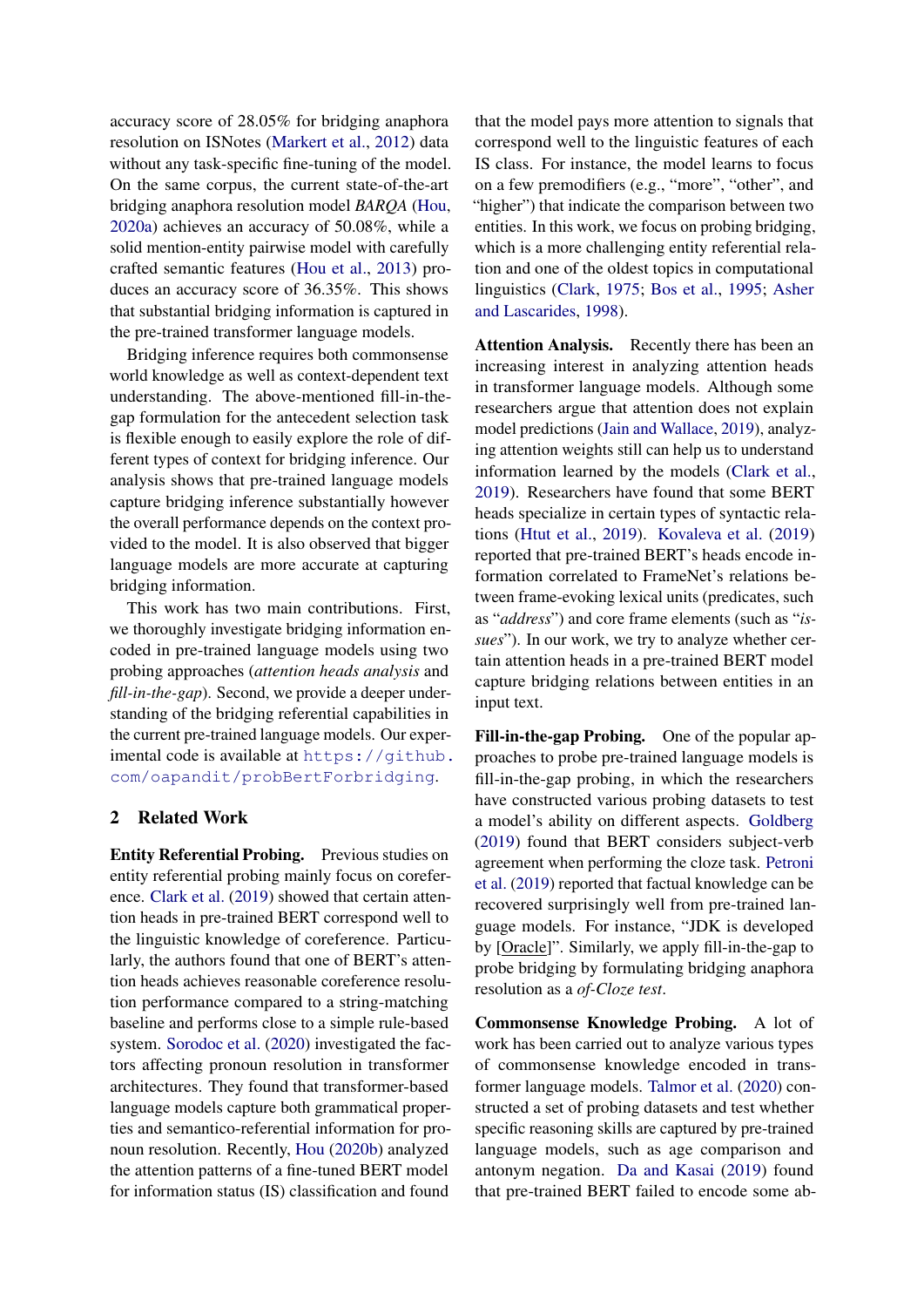accuracy score of 28.05% for bridging anaphora resolution on ISNotes (Markert et al., 2012) data without any task-specific fine-tuning of the model. On the same corpus, the current state-of-the-art bridging anaphora resolution model *BARQA* (Hou, 2020a) achieves an accuracy of 50.08%, while a solid mention-entity pairwise model with carefully crafted semantic features (Hou et al., 2013) produces an accuracy score of 36.35%. This shows that substantial bridging information is captured in the pre-trained transformer language models.

Bridging inference requires both commonsense world knowledge as well as context-dependent text understanding. The above-mentioned fill-in-thegap formulation for the antecedent selection task is flexible enough to easily explore the role of different types of context for bridging inference. Our analysis shows that pre-trained language models capture bridging inference substantially however the overall performance depends on the context provided to the model. It is also observed that bigger language models are more accurate at capturing bridging information.

This work has two main contributions. First, we thoroughly investigate bridging information encoded in pre-trained language models using two probing approaches (*attention heads analysis* and *fill-in-the-gap*). Second, we provide a deeper understanding of the bridging referential capabilities in the current pre-trained language models. Our experimental code is available at [https://github.](https://github.com/oapandit/probBertForbridging) [com/oapandit/probBertForbridging](https://github.com/oapandit/probBertForbridging).

## 2 Related Work

Entity Referential Probing. Previous studies on entity referential probing mainly focus on coreference. Clark et al. (2019) showed that certain attention heads in pre-trained BERT correspond well to the linguistic knowledge of coreference. Particularly, the authors found that one of BERT's attention heads achieves reasonable coreference resolution performance compared to a string-matching baseline and performs close to a simple rule-based system. Sorodoc et al. (2020) investigated the factors affecting pronoun resolution in transformer architectures. They found that transformer-based language models capture both grammatical properties and semantico-referential information for pronoun resolution. Recently, Hou (2020b) analyzed the attention patterns of a fine-tuned BERT model for information status (IS) classification and found

that the model pays more attention to signals that correspond well to the linguistic features of each IS class. For instance, the model learns to focus on a few premodifiers (e.g., "more", "other", and "higher") that indicate the comparison between two entities. In this work, we focus on probing bridging, which is a more challenging entity referential relation and one of the oldest topics in computational linguistics (Clark, 1975; Bos et al., 1995; Asher and Lascarides, 1998).

Attention Analysis. Recently there has been an increasing interest in analyzing attention heads in transformer language models. Although some researchers argue that attention does not explain model predictions (Jain and Wallace, 2019), analyzing attention weights still can help us to understand information learned by the models (Clark et al., 2019). Researchers have found that some BERT heads specialize in certain types of syntactic relations (Htut et al., 2019). Kovaleva et al. (2019) reported that pre-trained BERT's heads encode information correlated to FrameNet's relations between frame-evoking lexical units (predicates, such as "*address*") and core frame elements (such as "*issues*"). In our work, we try to analyze whether certain attention heads in a pre-trained BERT model capture bridging relations between entities in an input text.

Fill-in-the-gap Probing. One of the popular approaches to probe pre-trained language models is fill-in-the-gap probing, in which the researchers have constructed various probing datasets to test a model's ability on different aspects. Goldberg (2019) found that BERT considers subject-verb agreement when performing the cloze task. Petroni et al. (2019) reported that factual knowledge can be recovered surprisingly well from pre-trained language models. For instance, "JDK is developed by [Oracle]". Similarly, we apply fill-in-the-gap to probe bridging by formulating bridging anaphora resolution as a *of-Cloze test*.

Commonsense Knowledge Probing. A lot of work has been carried out to analyze various types of commonsense knowledge encoded in transformer language models. Talmor et al. (2020) constructed a set of probing datasets and test whether specific reasoning skills are captured by pre-trained language models, such as age comparison and antonym negation. Da and Kasai (2019) found that pre-trained BERT failed to encode some ab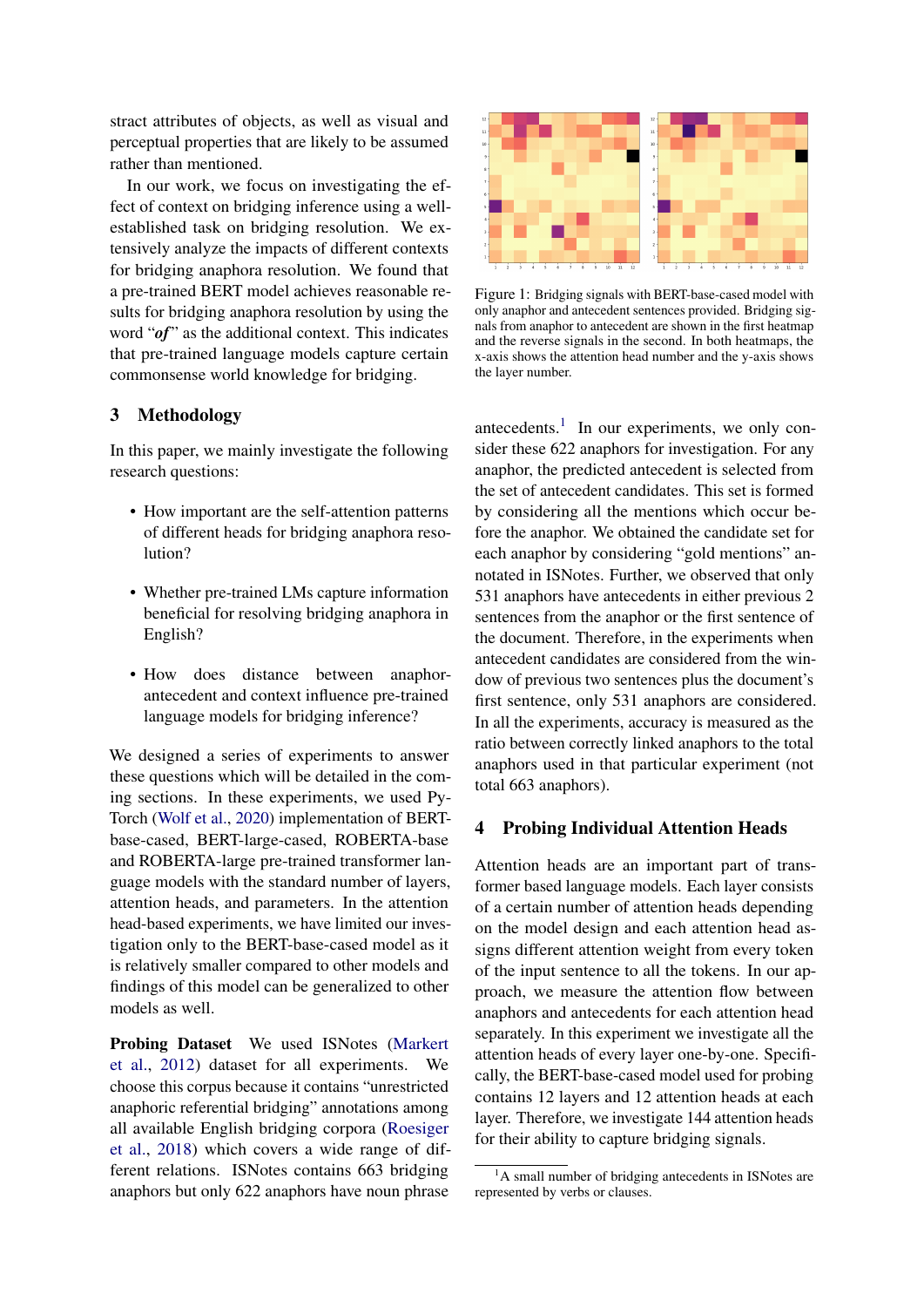stract attributes of objects, as well as visual and perceptual properties that are likely to be assumed rather than mentioned.

In our work, we focus on investigating the effect of context on bridging inference using a wellestablished task on bridging resolution. We extensively analyze the impacts of different contexts for bridging anaphora resolution. We found that a pre-trained BERT model achieves reasonable results for bridging anaphora resolution by using the word "*of*" as the additional context. This indicates that pre-trained language models capture certain commonsense world knowledge for bridging.

## 3 Methodology

In this paper, we mainly investigate the following research questions:

- How important are the self-attention patterns of different heads for bridging anaphora resolution?
- Whether pre-trained LMs capture information beneficial for resolving bridging anaphora in English?
- How does distance between anaphorantecedent and context influence pre-trained language models for bridging inference?

We designed a series of experiments to answer these questions which will be detailed in the coming sections. In these experiments, we used Py-Torch (Wolf et al., 2020) implementation of BERTbase-cased, BERT-large-cased, ROBERTA-base and ROBERTA-large pre-trained transformer language models with the standard number of layers, attention heads, and parameters. In the attention head-based experiments, we have limited our investigation only to the BERT-base-cased model as it is relatively smaller compared to other models and findings of this model can be generalized to other models as well.

Probing Dataset We used ISNotes (Markert et al., 2012) dataset for all experiments. We choose this corpus because it contains "unrestricted anaphoric referential bridging" annotations among all available English bridging corpora (Roesiger et al., 2018) which covers a wide range of different relations. ISNotes contains 663 bridging anaphors but only 622 anaphors have noun phrase



Figure 1: Bridging signals with BERT-base-cased model with only anaphor and antecedent sentences provided. Bridging signals from anaphor to antecedent are shown in the first heatmap and the reverse signals in the second. In both heatmaps, the x-axis shows the attention head number and the y-axis shows the layer number.

antecedents.<sup>1</sup> In our experiments, we only consider these 622 anaphors for investigation. For any anaphor, the predicted antecedent is selected from the set of antecedent candidates. This set is formed by considering all the mentions which occur before the anaphor. We obtained the candidate set for each anaphor by considering "gold mentions" annotated in ISNotes. Further, we observed that only 531 anaphors have antecedents in either previous 2 sentences from the anaphor or the first sentence of the document. Therefore, in the experiments when antecedent candidates are considered from the window of previous two sentences plus the document's first sentence, only 531 anaphors are considered. In all the experiments, accuracy is measured as the ratio between correctly linked anaphors to the total anaphors used in that particular experiment (not total 663 anaphors).

## 4 Probing Individual Attention Heads

Attention heads are an important part of transformer based language models. Each layer consists of a certain number of attention heads depending on the model design and each attention head assigns different attention weight from every token of the input sentence to all the tokens. In our approach, we measure the attention flow between anaphors and antecedents for each attention head separately. In this experiment we investigate all the attention heads of every layer one-by-one. Specifically, the BERT-base-cased model used for probing contains 12 layers and 12 attention heads at each layer. Therefore, we investigate 144 attention heads for their ability to capture bridging signals.

 $<sup>1</sup>A$  small number of bridging antecedents in ISNotes are</sup> represented by verbs or clauses.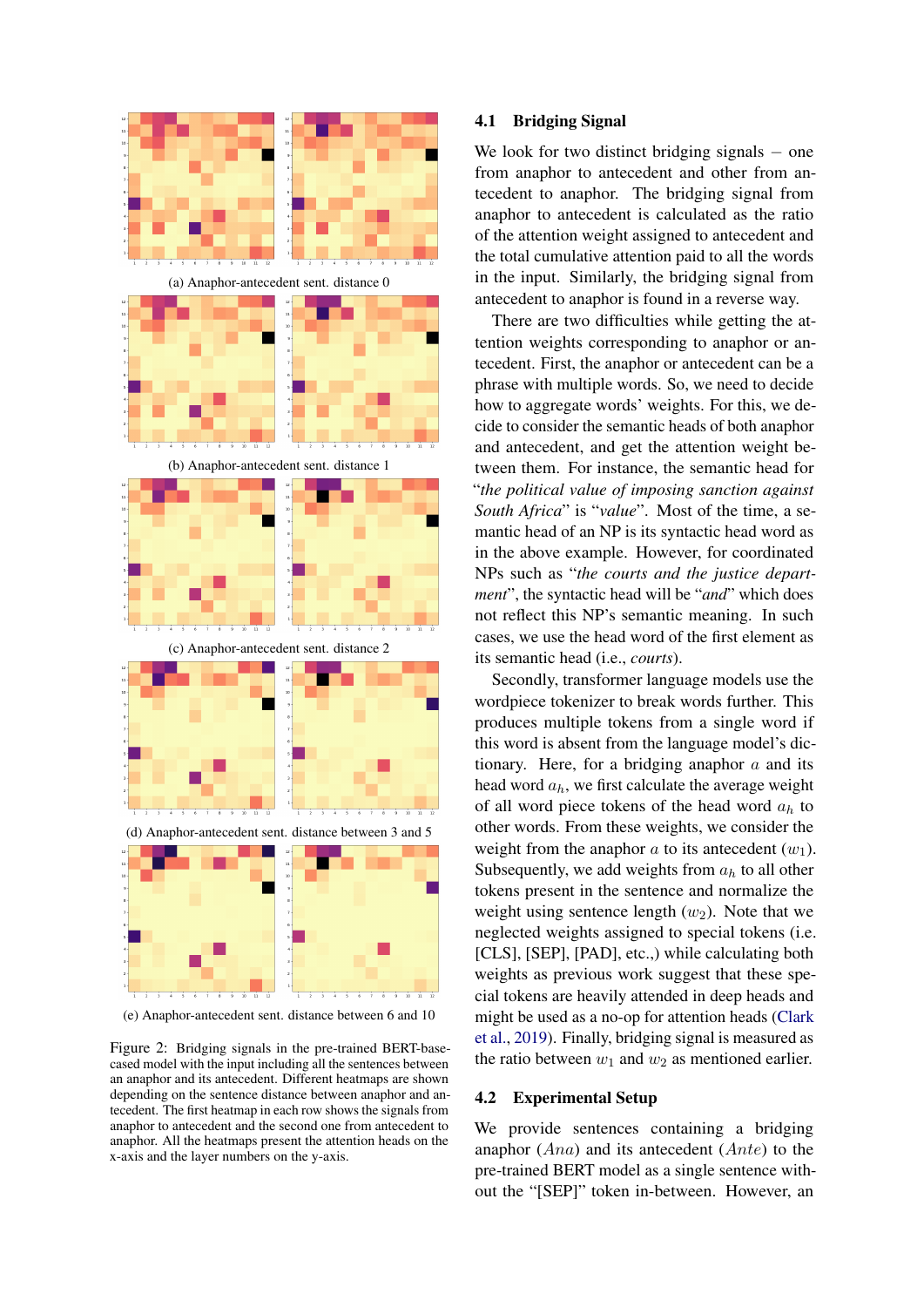

(e) Anaphor-antecedent sent. distance between 6 and 10

Figure 2: Bridging signals in the pre-trained BERT-basecased model with the input including all the sentences between an anaphor and its antecedent. Different heatmaps are shown depending on the sentence distance between anaphor and antecedent. The first heatmap in each row shows the signals from anaphor to antecedent and the second one from antecedent to anaphor. All the heatmaps present the attention heads on the x-axis and the layer numbers on the y-axis.

#### 4.1 Bridging Signal

We look for two distinct bridging signals  $-$  one from anaphor to antecedent and other from antecedent to anaphor. The bridging signal from anaphor to antecedent is calculated as the ratio of the attention weight assigned to antecedent and the total cumulative attention paid to all the words in the input. Similarly, the bridging signal from antecedent to anaphor is found in a reverse way.

There are two difficulties while getting the attention weights corresponding to anaphor or antecedent. First, the anaphor or antecedent can be a phrase with multiple words. So, we need to decide how to aggregate words' weights. For this, we decide to consider the semantic heads of both anaphor and antecedent, and get the attention weight between them. For instance, the semantic head for "*the political value of imposing sanction against South Africa*" is "*value*". Most of the time, a semantic head of an NP is its syntactic head word as in the above example. However, for coordinated NPs such as "*the courts and the justice department*", the syntactic head will be "*and*" which does not reflect this NP's semantic meaning. In such cases, we use the head word of the first element as its semantic head (i.e., *courts*).

Secondly, transformer language models use the wordpiece tokenizer to break words further. This produces multiple tokens from a single word if this word is absent from the language model's dictionary. Here, for a bridging anaphor  $a$  and its head word  $a_h$ , we first calculate the average weight of all word piece tokens of the head word  $a_h$  to other words. From these weights, we consider the weight from the anaphor a to its antecedent  $(w_1)$ . Subsequently, we add weights from  $a<sub>h</sub>$  to all other tokens present in the sentence and normalize the weight using sentence length  $(w_2)$ . Note that we neglected weights assigned to special tokens (i.e. [CLS], [SEP], [PAD], etc.,) while calculating both weights as previous work suggest that these special tokens are heavily attended in deep heads and might be used as a no-op for attention heads (Clark et al., 2019). Finally, bridging signal is measured as the ratio between  $w_1$  and  $w_2$  as mentioned earlier.

#### 4.2 Experimental Setup

We provide sentences containing a bridging anaphor  $(Ana)$  and its antecedent  $(Ante)$  to the pre-trained BERT model as a single sentence without the "[SEP]" token in-between. However, an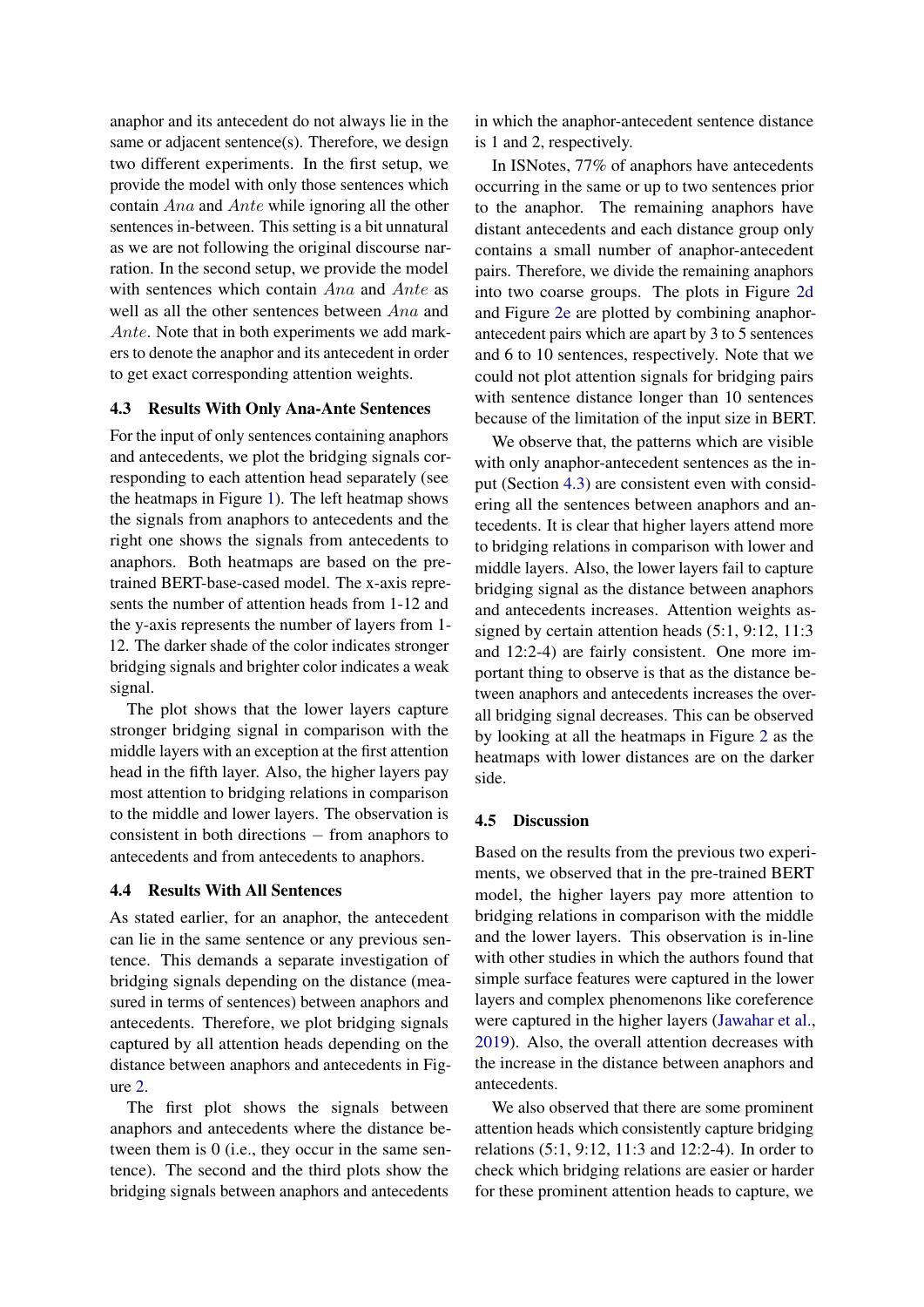anaphor and its antecedent do not always lie in the same or adjacent sentence(s). Therefore, we design two different experiments. In the first setup, we provide the model with only those sentences which contain Ana and Ante while ignoring all the other sentences in-between. This setting is a bit unnatural as we are not following the original discourse narration. In the second setup, we provide the model with sentences which contain Ana and Ante as well as all the other sentences between Ana and Ante. Note that in both experiments we add markers to denote the anaphor and its antecedent in order to get exact corresponding attention weights.

#### 4.3 Results With Only Ana-Ante Sentences

For the input of only sentences containing anaphors and antecedents, we plot the bridging signals corresponding to each attention head separately (see the heatmaps in Figure 1). The left heatmap shows the signals from anaphors to antecedents and the right one shows the signals from antecedents to anaphors. Both heatmaps are based on the pretrained BERT-base-cased model. The x-axis represents the number of attention heads from 1-12 and the y-axis represents the number of layers from 1- 12. The darker shade of the color indicates stronger bridging signals and brighter color indicates a weak signal.

The plot shows that the lower layers capture stronger bridging signal in comparison with the middle layers with an exception at the first attention head in the fifth layer. Also, the higher layers pay most attention to bridging relations in comparison to the middle and lower layers. The observation is consistent in both directions − from anaphors to antecedents and from antecedents to anaphors.

### 4.4 Results With All Sentences

As stated earlier, for an anaphor, the antecedent can lie in the same sentence or any previous sentence. This demands a separate investigation of bridging signals depending on the distance (measured in terms of sentences) between anaphors and antecedents. Therefore, we plot bridging signals captured by all attention heads depending on the distance between anaphors and antecedents in Figure 2.

The first plot shows the signals between anaphors and antecedents where the distance between them is 0 (i.e., they occur in the same sentence). The second and the third plots show the bridging signals between anaphors and antecedents

in which the anaphor-antecedent sentence distance is 1 and 2, respectively.

In ISNotes, 77% of anaphors have antecedents occurring in the same or up to two sentences prior to the anaphor. The remaining anaphors have distant antecedents and each distance group only contains a small number of anaphor-antecedent pairs. Therefore, we divide the remaining anaphors into two coarse groups. The plots in Figure 2d and Figure 2e are plotted by combining anaphorantecedent pairs which are apart by 3 to 5 sentences and 6 to 10 sentences, respectively. Note that we could not plot attention signals for bridging pairs with sentence distance longer than 10 sentences because of the limitation of the input size in BERT.

We observe that, the patterns which are visible with only anaphor-antecedent sentences as the input (Section 4.3) are consistent even with considering all the sentences between anaphors and antecedents. It is clear that higher layers attend more to bridging relations in comparison with lower and middle layers. Also, the lower layers fail to capture bridging signal as the distance between anaphors and antecedents increases. Attention weights assigned by certain attention heads (5:1, 9:12, 11:3 and 12:2-4) are fairly consistent. One more important thing to observe is that as the distance between anaphors and antecedents increases the overall bridging signal decreases. This can be observed by looking at all the heatmaps in Figure 2 as the heatmaps with lower distances are on the darker side.

#### 4.5 Discussion

Based on the results from the previous two experiments, we observed that in the pre-trained BERT model, the higher layers pay more attention to bridging relations in comparison with the middle and the lower layers. This observation is in-line with other studies in which the authors found that simple surface features were captured in the lower layers and complex phenomenons like coreference were captured in the higher layers (Jawahar et al., 2019). Also, the overall attention decreases with the increase in the distance between anaphors and antecedents.

We also observed that there are some prominent attention heads which consistently capture bridging relations (5:1, 9:12, 11:3 and 12:2-4). In order to check which bridging relations are easier or harder for these prominent attention heads to capture, we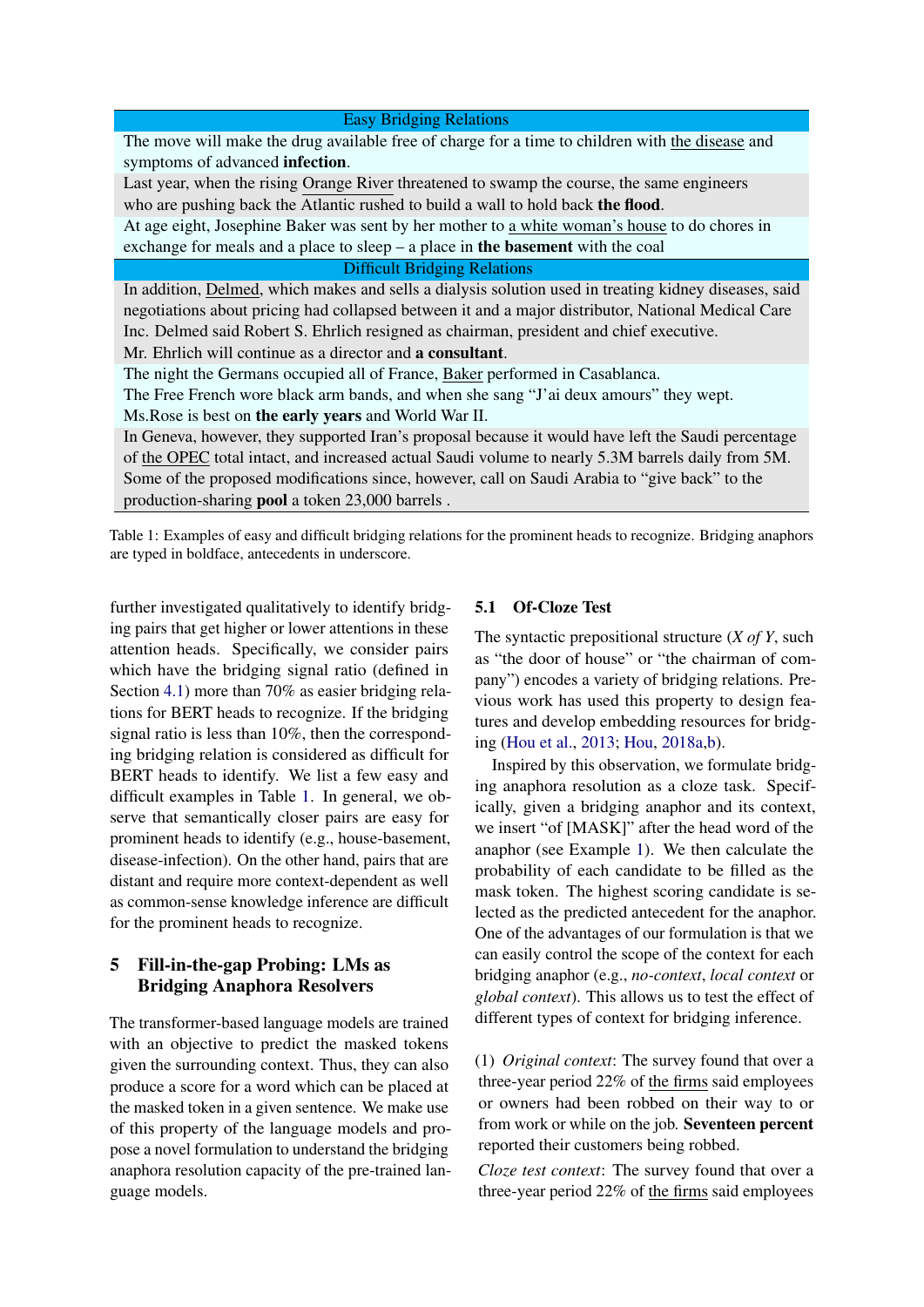| <b>Easy Bridging Relations</b>                                                                        |
|-------------------------------------------------------------------------------------------------------|
| The move will make the drug available free of charge for a time to children with the disease and      |
| symptoms of advanced infection.                                                                       |
| Last year, when the rising Orange River threatened to swamp the course, the same engineers            |
| who are pushing back the Atlantic rushed to build a wall to hold back the flood.                      |
| At age eight, Josephine Baker was sent by her mother to a white woman's house to do chores in         |
| exchange for meals and a place to sleep $-$ a place in the basement with the coal                     |
| <b>Difficult Bridging Relations</b>                                                                   |
| In addition, Delmed, which makes and sells a dialysis solution used in treating kidney diseases, said |
| negotiations about pricing had collapsed between it and a major distributor, National Medical Care    |
| Inc. Delmed said Robert S. Ehrlich resigned as chairman, president and chief executive.               |
| Mr. Ehrlich will continue as a director and a consultant.                                             |
| The night the Germans occupied all of France, Baker performed in Casablanca.                          |
| The Free French wore black arm bands, and when she sang "J'ai deux amours" they wept.                 |
| Ms. Rose is best on the early years and World War II.                                                 |
| In Geneva, however, they supported Iran's proposal because it would have left the Saudi percentage    |
| of the OPEC total intact, and increased actual Saudi volume to nearly 5.3M barrels daily from 5M.     |
| Some of the proposed modifications since, however, call on Saudi Arabia to "give back" to the         |
| production-sharing <b>pool</b> a token 23,000 barrels.                                                |

Table 1: Examples of easy and difficult bridging relations for the prominent heads to recognize. Bridging anaphors are typed in boldface, antecedents in underscore.

further investigated qualitatively to identify bridging pairs that get higher or lower attentions in these attention heads. Specifically, we consider pairs which have the bridging signal ratio (defined in Section 4.1) more than 70% as easier bridging relations for BERT heads to recognize. If the bridging signal ratio is less than 10%, then the corresponding bridging relation is considered as difficult for BERT heads to identify. We list a few easy and difficult examples in Table 1. In general, we observe that semantically closer pairs are easy for prominent heads to identify (e.g., house-basement, disease-infection). On the other hand, pairs that are distant and require more context-dependent as well as common-sense knowledge inference are difficult for the prominent heads to recognize.

## 5 Fill-in-the-gap Probing: LMs as Bridging Anaphora Resolvers

The transformer-based language models are trained with an objective to predict the masked tokens given the surrounding context. Thus, they can also produce a score for a word which can be placed at the masked token in a given sentence. We make use of this property of the language models and propose a novel formulation to understand the bridging anaphora resolution capacity of the pre-trained language models.

## 5.1 Of-Cloze Test

The syntactic prepositional structure (*X of Y*, such as "the door of house" or "the chairman of company") encodes a variety of bridging relations. Previous work has used this property to design features and develop embedding resources for bridging (Hou et al., 2013; Hou, 2018a,b).

Inspired by this observation, we formulate bridging anaphora resolution as a cloze task. Specifically, given a bridging anaphor and its context, we insert "of [MASK]" after the head word of the anaphor (see Example 1). We then calculate the probability of each candidate to be filled as the mask token. The highest scoring candidate is selected as the predicted antecedent for the anaphor. One of the advantages of our formulation is that we can easily control the scope of the context for each bridging anaphor (e.g., *no-context*, *local context* or *global context*). This allows us to test the effect of different types of context for bridging inference.

(1) *Original context*: The survey found that over a three-year period 22% of the firms said employees or owners had been robbed on their way to or from work or while on the job. Seventeen percent reported their customers being robbed.

*Cloze test context*: The survey found that over a three-year period 22% of the firms said employees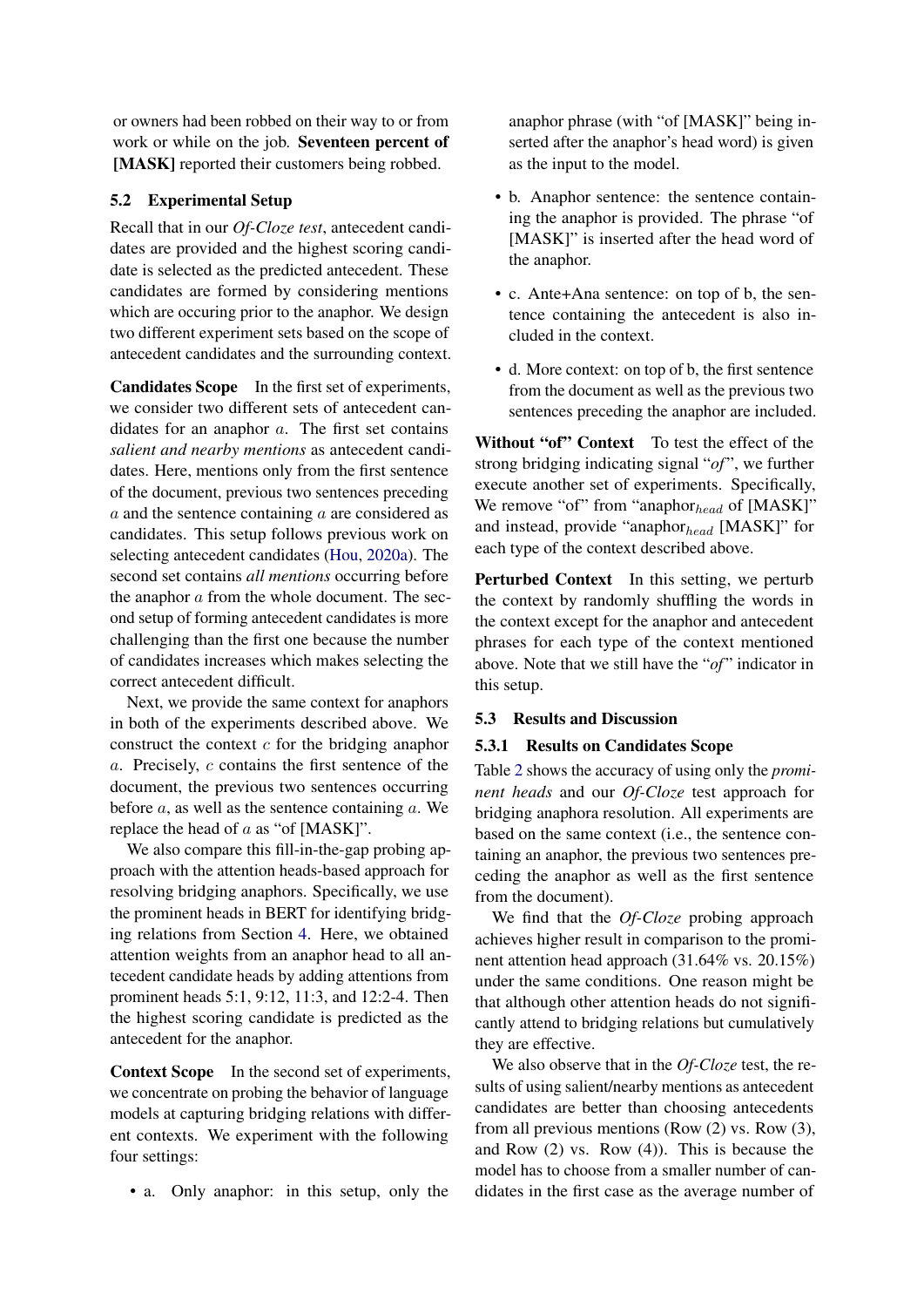or owners had been robbed on their way to or from work or while on the job. Seventeen percent of [MASK] reported their customers being robbed.

## 5.2 Experimental Setup

Recall that in our *Of-Cloze test*, antecedent candidates are provided and the highest scoring candidate is selected as the predicted antecedent. These candidates are formed by considering mentions which are occuring prior to the anaphor. We design two different experiment sets based on the scope of antecedent candidates and the surrounding context.

Candidates Scope In the first set of experiments, we consider two different sets of antecedent candidates for an anaphor a. The first set contains *salient and nearby mentions* as antecedent candidates. Here, mentions only from the first sentence of the document, previous two sentences preceding a and the sentence containing a are considered as candidates. This setup follows previous work on selecting antecedent candidates (Hou, 2020a). The second set contains *all mentions* occurring before the anaphor a from the whole document. The second setup of forming antecedent candidates is more challenging than the first one because the number of candidates increases which makes selecting the correct antecedent difficult.

Next, we provide the same context for anaphors in both of the experiments described above. We construct the context  $c$  for the bridging anaphor a. Precisely, c contains the first sentence of the document, the previous two sentences occurring before  $a$ , as well as the sentence containing  $a$ . We replace the head of  $a$  as "of [MASK]".

We also compare this fill-in-the-gap probing approach with the attention heads-based approach for resolving bridging anaphors. Specifically, we use the prominent heads in BERT for identifying bridging relations from Section 4. Here, we obtained attention weights from an anaphor head to all antecedent candidate heads by adding attentions from prominent heads 5:1, 9:12, 11:3, and 12:2-4. Then the highest scoring candidate is predicted as the antecedent for the anaphor.

Context Scope In the second set of experiments, we concentrate on probing the behavior of language models at capturing bridging relations with different contexts. We experiment with the following four settings:

• a. Only anaphor: in this setup, only the

anaphor phrase (with "of [MASK]" being inserted after the anaphor's head word) is given as the input to the model.

- b. Anaphor sentence: the sentence containing the anaphor is provided. The phrase "of [MASK]" is inserted after the head word of the anaphor.
- c. Ante+Ana sentence: on top of b, the sentence containing the antecedent is also included in the context.
- d. More context: on top of b, the first sentence from the document as well as the previous two sentences preceding the anaphor are included.

Without "of" Context To test the effect of the strong bridging indicating signal "*of* ", we further execute another set of experiments. Specifically, We remove "of" from "anaphor $_{head}$  of [MASK]" and instead, provide "anaphor $_{head}$  [MASK]" for each type of the context described above.

Perturbed Context In this setting, we perturb the context by randomly shuffling the words in the context except for the anaphor and antecedent phrases for each type of the context mentioned above. Note that we still have the "*of*" indicator in this setup.

## 5.3 Results and Discussion

## 5.3.1 Results on Candidates Scope

Table 2 shows the accuracy of using only the *prominent heads* and our *Of-Cloze* test approach for bridging anaphora resolution. All experiments are based on the same context (i.e., the sentence containing an anaphor, the previous two sentences preceding the anaphor as well as the first sentence from the document).

We find that the *Of-Cloze* probing approach achieves higher result in comparison to the prominent attention head approach (31.64% vs. 20.15%) under the same conditions. One reason might be that although other attention heads do not significantly attend to bridging relations but cumulatively they are effective.

We also observe that in the *Of-Cloze* test, the results of using salient/nearby mentions as antecedent candidates are better than choosing antecedents from all previous mentions (Row (2) vs. Row (3), and Row (2) vs. Row (4)). This is because the model has to choose from a smaller number of candidates in the first case as the average number of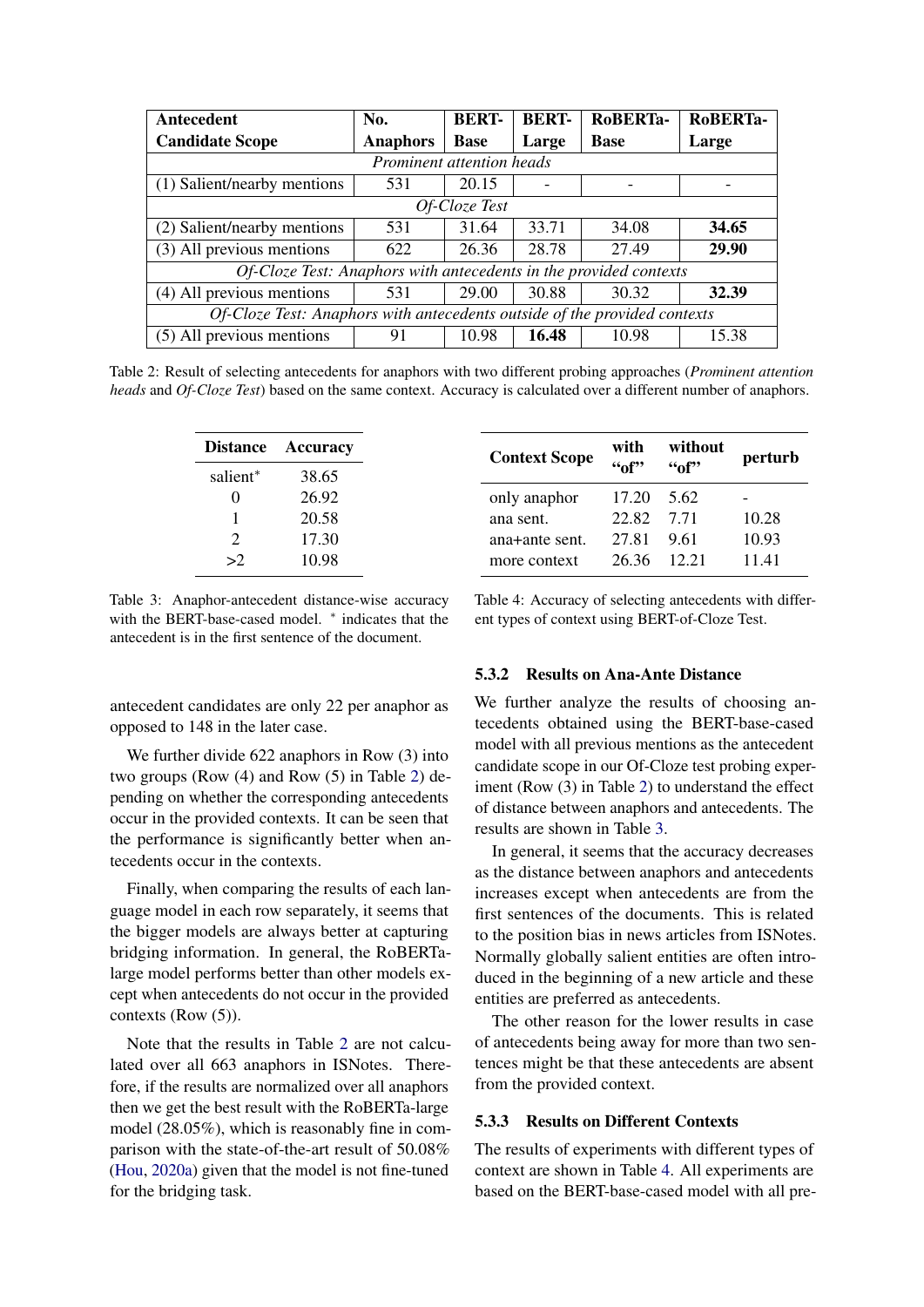| Antecedent                                                                | No.             | <b>BERT-</b> | <b>BERT-</b> | RoBERTa-    | RoBERTa- |  |  |  |  |  |
|---------------------------------------------------------------------------|-----------------|--------------|--------------|-------------|----------|--|--|--|--|--|
| <b>Candidate Scope</b>                                                    | <b>Anaphors</b> | <b>Base</b>  | Large        | <b>Base</b> | Large    |  |  |  |  |  |
| Prominent attention heads                                                 |                 |              |              |             |          |  |  |  |  |  |
| (1) Salient/nearby mentions                                               | 531             | 20.15        |              |             |          |  |  |  |  |  |
| Of-Cloze Test                                                             |                 |              |              |             |          |  |  |  |  |  |
| (2) Salient/nearby mentions                                               | 531             | 31.64        | 33.71        | 34.08       | 34.65    |  |  |  |  |  |
| (3) All previous mentions                                                 | 622             | 26.36        | 28.78        | 27.49       | 29.90    |  |  |  |  |  |
| Of-Cloze Test: Anaphors with antecedents in the provided contexts         |                 |              |              |             |          |  |  |  |  |  |
| (4) All previous mentions                                                 | 531             | 29.00        | 30.88        | 30.32       | 32.39    |  |  |  |  |  |
| Of-Cloze Test: Anaphors with antecedents outside of the provided contexts |                 |              |              |             |          |  |  |  |  |  |
| (5) All previous mentions                                                 | 91              | 10.98        | 16.48        | 10.98       | 15.38    |  |  |  |  |  |

Table 2: Result of selecting antecedents for anaphors with two different probing approaches (*Prominent attention heads* and *Of-Cloze Test*) based on the same context. Accuracy is calculated over a different number of anaphors.

| <b>Distance</b>      | Accuracy | <b>Context Scope</b> | with<br>46f | without | perturb |
|----------------------|----------|----------------------|-------------|---------|---------|
| salient <sup>*</sup> | 38.65    |                      |             | ``of"   |         |
| 0                    | 26.92    | only anaphor         | 17.20       | 5.62    |         |
|                      | 20.58    | ana sent.            | 22.82       | 7.71    | 10.28   |
| 2                    | 17.30    | ana+ante sent.       | 27.81       | 9.61    | 10.93   |
| >2                   | 10.98    | more context         | 26.36       | 12.21   | 11.41   |

Table 3: Anaphor-antecedent distance-wise accuracy with the BERT-base-cased model. \* indicates that the antecedent is in the first sentence of the document.

antecedent candidates are only 22 per anaphor as opposed to 148 in the later case.

We further divide 622 anaphors in Row (3) into two groups (Row (4) and Row (5) in Table 2) depending on whether the corresponding antecedents occur in the provided contexts. It can be seen that the performance is significantly better when antecedents occur in the contexts.

Finally, when comparing the results of each language model in each row separately, it seems that the bigger models are always better at capturing bridging information. In general, the RoBERTalarge model performs better than other models except when antecedents do not occur in the provided contexts (Row (5)).

Note that the results in Table 2 are not calculated over all 663 anaphors in ISNotes. Therefore, if the results are normalized over all anaphors then we get the best result with the RoBERTa-large model (28.05%), which is reasonably fine in comparison with the state-of-the-art result of 50.08% (Hou, 2020a) given that the model is not fine-tuned for the bridging task.

Table 4: Accuracy of selecting antecedents with different types of context using BERT-of-Cloze Test.

#### 5.3.2 Results on Ana-Ante Distance

We further analyze the results of choosing antecedents obtained using the BERT-base-cased model with all previous mentions as the antecedent candidate scope in our Of-Cloze test probing experiment (Row (3) in Table 2) to understand the effect of distance between anaphors and antecedents. The results are shown in Table 3.

In general, it seems that the accuracy decreases as the distance between anaphors and antecedents increases except when antecedents are from the first sentences of the documents. This is related to the position bias in news articles from ISNotes. Normally globally salient entities are often introduced in the beginning of a new article and these entities are preferred as antecedents.

The other reason for the lower results in case of antecedents being away for more than two sentences might be that these antecedents are absent from the provided context.

## 5.3.3 Results on Different Contexts

The results of experiments with different types of context are shown in Table 4. All experiments are based on the BERT-base-cased model with all pre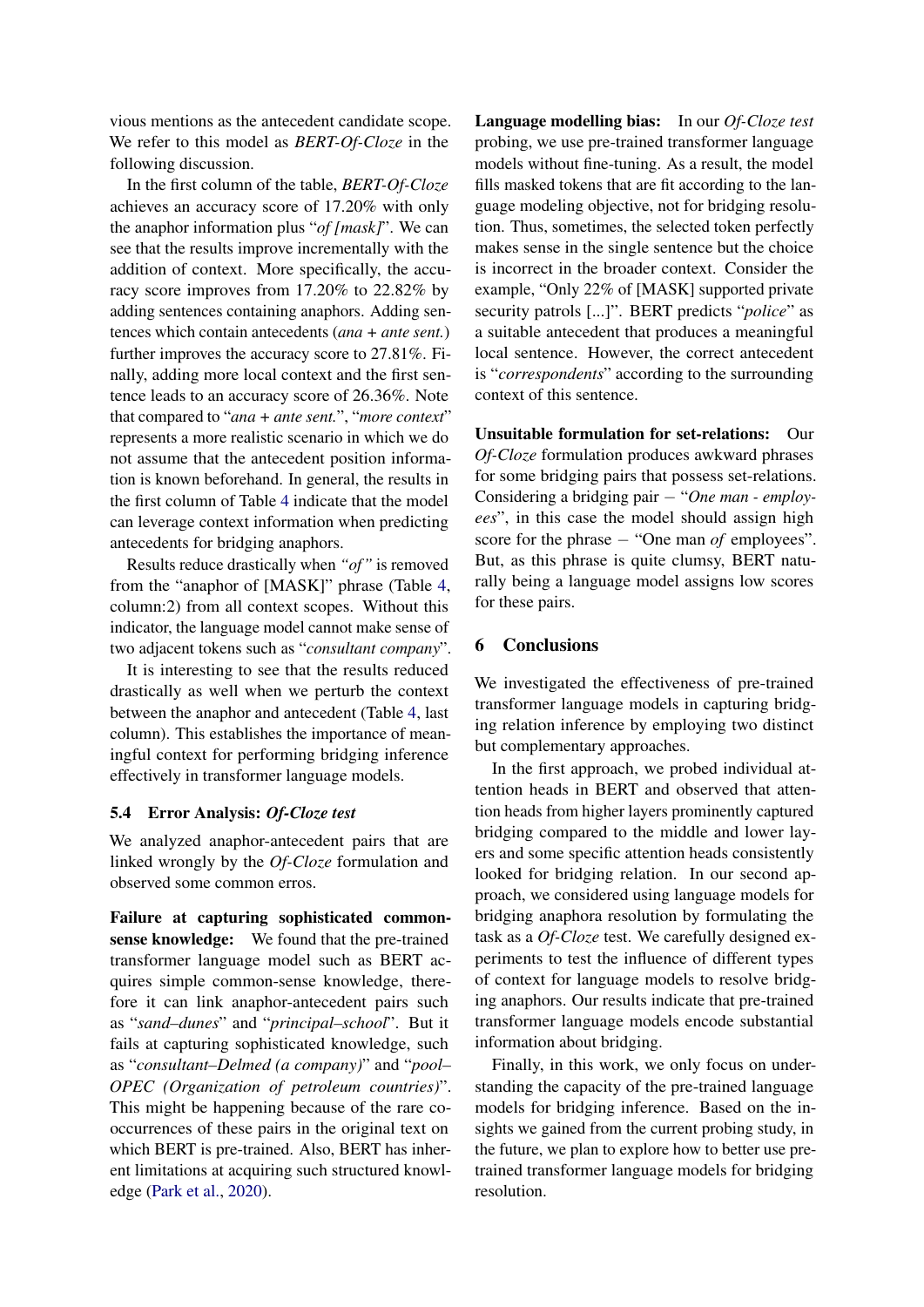vious mentions as the antecedent candidate scope. We refer to this model as *BERT-Of-Cloze* in the following discussion.

In the first column of the table, *BERT-Of-Cloze* achieves an accuracy score of 17.20% with only the anaphor information plus "*of [mask]*". We can see that the results improve incrementally with the addition of context. More specifically, the accuracy score improves from 17.20% to 22.82% by adding sentences containing anaphors. Adding sentences which contain antecedents (*ana + ante sent.*) further improves the accuracy score to 27.81%. Finally, adding more local context and the first sentence leads to an accuracy score of 26.36%. Note that compared to "*ana + ante sent.*", "*more context*" represents a more realistic scenario in which we do not assume that the antecedent position information is known beforehand. In general, the results in the first column of Table 4 indicate that the model can leverage context information when predicting antecedents for bridging anaphors.

Results reduce drastically when *"of"* is removed from the "anaphor of [MASK]" phrase (Table 4, column:2) from all context scopes. Without this indicator, the language model cannot make sense of two adjacent tokens such as "*consultant company*".

It is interesting to see that the results reduced drastically as well when we perturb the context between the anaphor and antecedent (Table 4, last column). This establishes the importance of meaningful context for performing bridging inference effectively in transformer language models.

## 5.4 Error Analysis: *Of-Cloze test*

We analyzed anaphor-antecedent pairs that are linked wrongly by the *Of-Cloze* formulation and observed some common erros.

Failure at capturing sophisticated commonsense knowledge: We found that the pre-trained transformer language model such as BERT acquires simple common-sense knowledge, therefore it can link anaphor-antecedent pairs such as "*sand–dunes*" and "*principal–school*". But it fails at capturing sophisticated knowledge, such as "*consultant–Delmed (a company)*" and "*pool– OPEC (Organization of petroleum countries)*". This might be happening because of the rare cooccurrences of these pairs in the original text on which BERT is pre-trained. Also, BERT has inherent limitations at acquiring such structured knowledge (Park et al., 2020).

Language modelling bias: In our *Of-Cloze test* probing, we use pre-trained transformer language models without fine-tuning. As a result, the model fills masked tokens that are fit according to the language modeling objective, not for bridging resolution. Thus, sometimes, the selected token perfectly makes sense in the single sentence but the choice is incorrect in the broader context. Consider the example, "Only 22% of [MASK] supported private security patrols [...]". BERT predicts "*police*" as a suitable antecedent that produces a meaningful local sentence. However, the correct antecedent is "*correspondents*" according to the surrounding context of this sentence.

Unsuitable formulation for set-relations: Our *Of-Cloze* formulation produces awkward phrases for some bridging pairs that possess set-relations. Considering a bridging pair − "*One man - employees*", in this case the model should assign high score for the phrase − "One man *of* employees". But, as this phrase is quite clumsy, BERT naturally being a language model assigns low scores for these pairs.

## 6 Conclusions

We investigated the effectiveness of pre-trained transformer language models in capturing bridging relation inference by employing two distinct but complementary approaches.

In the first approach, we probed individual attention heads in BERT and observed that attention heads from higher layers prominently captured bridging compared to the middle and lower layers and some specific attention heads consistently looked for bridging relation. In our second approach, we considered using language models for bridging anaphora resolution by formulating the task as a *Of-Cloze* test. We carefully designed experiments to test the influence of different types of context for language models to resolve bridging anaphors. Our results indicate that pre-trained transformer language models encode substantial information about bridging.

Finally, in this work, we only focus on understanding the capacity of the pre-trained language models for bridging inference. Based on the insights we gained from the current probing study, in the future, we plan to explore how to better use pretrained transformer language models for bridging resolution.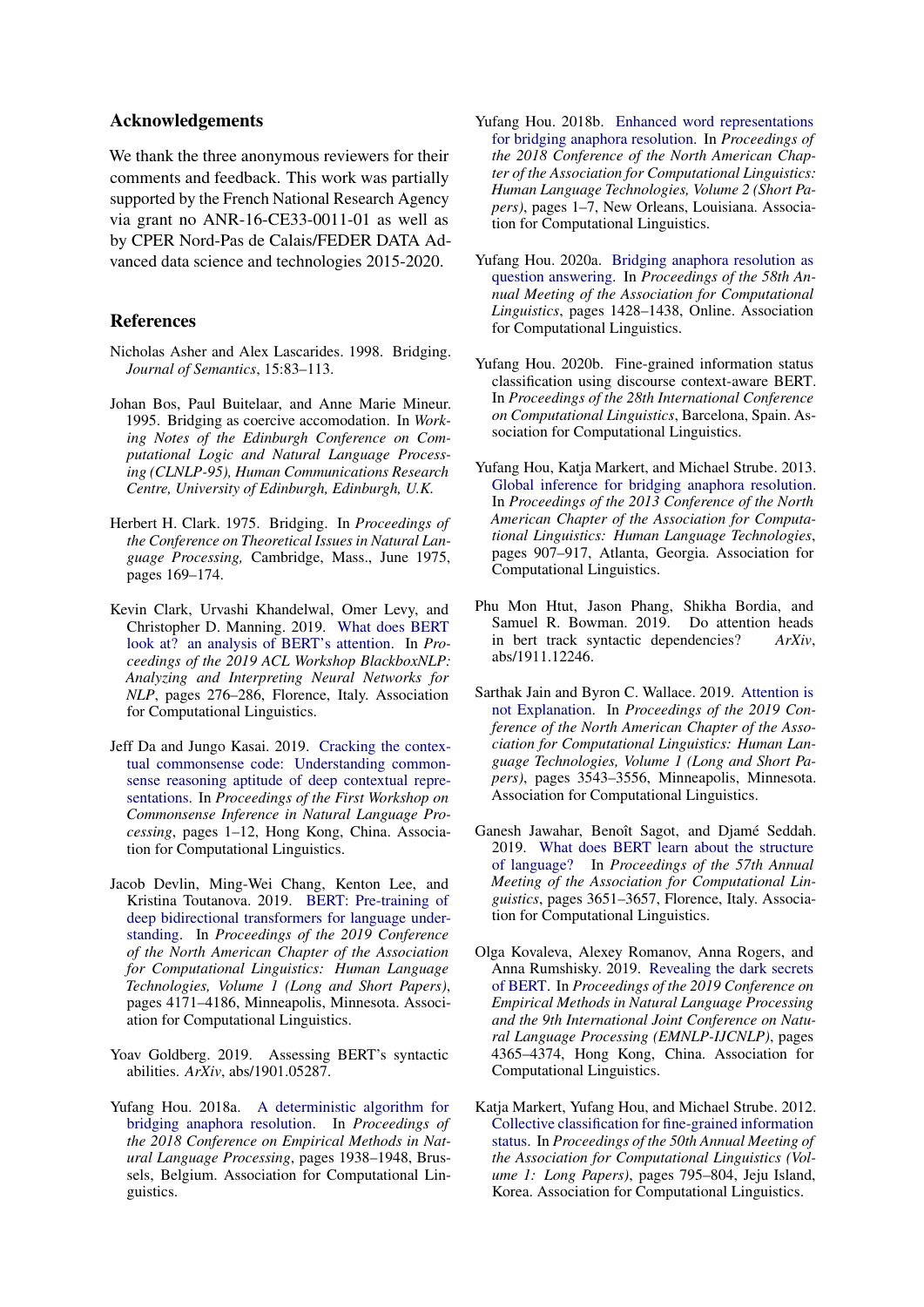## Acknowledgements

We thank the three anonymous reviewers for their comments and feedback. This work was partially supported by the French National Research Agency via grant no ANR-16-CE33-0011-01 as well as by CPER Nord-Pas de Calais/FEDER DATA Advanced data science and technologies 2015-2020.

#### References

- Nicholas Asher and Alex Lascarides. 1998. Bridging. *Journal of Semantics*, 15:83–113.
- Johan Bos, Paul Buitelaar, and Anne Marie Mineur. 1995. Bridging as coercive accomodation. In *Working Notes of the Edinburgh Conference on Computational Logic and Natural Language Processing (CLNLP-95), Human Communications Research Centre, University of Edinburgh, Edinburgh, U.K.*
- Herbert H. Clark. 1975. Bridging. In *Proceedings of the Conference on Theoretical Issues in Natural Language Processing,* Cambridge, Mass., June 1975, pages 169–174.
- Kevin Clark, Urvashi Khandelwal, Omer Levy, and Christopher D. Manning. 2019. [What does BERT](https://doi.org/10.18653/v1/W19-4828) [look at? an analysis of BERT's attention.](https://doi.org/10.18653/v1/W19-4828) In *Proceedings of the 2019 ACL Workshop BlackboxNLP: Analyzing and Interpreting Neural Networks for NLP*, pages 276–286, Florence, Italy. Association for Computational Linguistics.
- Jeff Da and Jungo Kasai. 2019. [Cracking the contex](https://doi.org/10.18653/v1/D19-6001)[tual commonsense code: Understanding common](https://doi.org/10.18653/v1/D19-6001)[sense reasoning aptitude of deep contextual repre](https://doi.org/10.18653/v1/D19-6001)[sentations.](https://doi.org/10.18653/v1/D19-6001) In *Proceedings of the First Workshop on Commonsense Inference in Natural Language Processing*, pages 1–12, Hong Kong, China. Association for Computational Linguistics.
- Jacob Devlin, Ming-Wei Chang, Kenton Lee, and Kristina Toutanova. 2019. [BERT: Pre-training of](https://doi.org/10.18653/v1/N19-1423) [deep bidirectional transformers for language under](https://doi.org/10.18653/v1/N19-1423)[standing.](https://doi.org/10.18653/v1/N19-1423) In *Proceedings of the 2019 Conference of the North American Chapter of the Association for Computational Linguistics: Human Language Technologies, Volume 1 (Long and Short Papers)*, pages 4171–4186, Minneapolis, Minnesota. Association for Computational Linguistics.
- Yoav Goldberg. 2019. Assessing BERT's syntactic abilities. *ArXiv*, abs/1901.05287.
- Yufang Hou. 2018a. [A deterministic algorithm for](https://doi.org/10.18653/v1/D18-1219) [bridging anaphora resolution.](https://doi.org/10.18653/v1/D18-1219) In *Proceedings of the 2018 Conference on Empirical Methods in Natural Language Processing*, pages 1938–1948, Brussels, Belgium. Association for Computational Linguistics.
- Yufang Hou. 2018b. [Enhanced word representations](https://doi.org/10.18653/v1/N18-2001) [for bridging anaphora resolution.](https://doi.org/10.18653/v1/N18-2001) In *Proceedings of the 2018 Conference of the North American Chapter of the Association for Computational Linguistics: Human Language Technologies, Volume 2 (Short Papers)*, pages 1–7, New Orleans, Louisiana. Association for Computational Linguistics.
- Yufang Hou. 2020a. [Bridging anaphora resolution as](https://doi.org/10.18653/v1/2020.acl-main.132) [question answering.](https://doi.org/10.18653/v1/2020.acl-main.132) In *Proceedings of the 58th Annual Meeting of the Association for Computational Linguistics*, pages 1428–1438, Online. Association for Computational Linguistics.
- Yufang Hou. 2020b. Fine-grained information status classification using discourse context-aware BERT. In *Proceedings of the 28th International Conference on Computational Linguistics*, Barcelona, Spain. Association for Computational Linguistics.
- Yufang Hou, Katja Markert, and Michael Strube. 2013. [Global inference for bridging anaphora resolution.](https://www.aclweb.org/anthology/N13-1111) In *Proceedings of the 2013 Conference of the North American Chapter of the Association for Computational Linguistics: Human Language Technologies*, pages 907–917, Atlanta, Georgia. Association for Computational Linguistics.
- Phu Mon Htut, Jason Phang, Shikha Bordia, and Samuel R. Bowman. 2019. Do attention heads in bert track syntactic dependencies? *ArXiv*, abs/1911.12246.
- Sarthak Jain and Byron C. Wallace. 2019. [Attention is](https://doi.org/10.18653/v1/N19-1357) [not Explanation.](https://doi.org/10.18653/v1/N19-1357) In *Proceedings of the 2019 Conference of the North American Chapter of the Association for Computational Linguistics: Human Language Technologies, Volume 1 (Long and Short Papers)*, pages 3543–3556, Minneapolis, Minnesota. Association for Computational Linguistics.
- Ganesh Jawahar, Benoît Sagot, and Djamé Seddah. 2019. [What does BERT learn about the structure](https://doi.org/10.18653/v1/P19-1356) [of language?](https://doi.org/10.18653/v1/P19-1356) In *Proceedings of the 57th Annual Meeting of the Association for Computational Linguistics*, pages 3651–3657, Florence, Italy. Association for Computational Linguistics.
- Olga Kovaleva, Alexey Romanov, Anna Rogers, and Anna Rumshisky. 2019. [Revealing the dark secrets](https://doi.org/10.18653/v1/D19-1445) [of BERT.](https://doi.org/10.18653/v1/D19-1445) In *Proceedings of the 2019 Conference on Empirical Methods in Natural Language Processing and the 9th International Joint Conference on Natural Language Processing (EMNLP-IJCNLP)*, pages 4365–4374, Hong Kong, China. Association for Computational Linguistics.
- Katja Markert, Yufang Hou, and Michael Strube. 2012. [Collective classification for fine-grained information](https://www.aclweb.org/anthology/P12-1084) [status.](https://www.aclweb.org/anthology/P12-1084) In *Proceedings of the 50th Annual Meeting of the Association for Computational Linguistics (Volume 1: Long Papers)*, pages 795–804, Jeju Island, Korea. Association for Computational Linguistics.